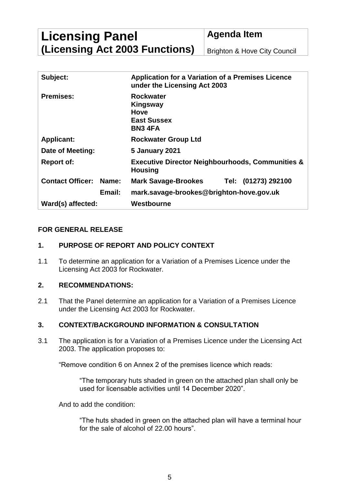**Licensing Panel (Licensing Act 2003 Functions)** **Agenda Item**

Brighton & Hove City Council

| Subject:                |              | <b>Application for a Variation of a Premises Licence</b><br>under the Licensing Act 2003 |  |
|-------------------------|--------------|------------------------------------------------------------------------------------------|--|
| <b>Premises:</b>        |              | <b>Rockwater</b><br>Kingsway<br><b>Hove</b><br><b>East Sussex</b><br><b>BN3 4FA</b>      |  |
| <b>Applicant:</b>       |              | <b>Rockwater Group Ltd</b>                                                               |  |
| Date of Meeting:        |              | <b>5 January 2021</b>                                                                    |  |
| <b>Report of:</b>       |              | <b>Executive Director Neighbourhoods, Communities &amp;</b><br><b>Housing</b>            |  |
| <b>Contact Officer:</b> | <b>Name:</b> | <b>Mark Savage-Brookes</b><br>Tel: (01273) 292100                                        |  |
|                         | Email:       | mark.savage-brookes@brighton-hove.gov.uk                                                 |  |
| Ward(s) affected:       |              | Westbourne                                                                               |  |

### **FOR GENERAL RELEASE**

### **1. PURPOSE OF REPORT AND POLICY CONTEXT**

1.1 To determine an application for a Variation of a Premises Licence under the Licensing Act 2003 for Rockwater.

#### **2. RECOMMENDATIONS:**

2.1 That the Panel determine an application for a Variation of a Premises Licence under the Licensing Act 2003 for Rockwater.

#### **3. CONTEXT/BACKGROUND INFORMATION & CONSULTATION**

3.1 The application is for a Variation of a Premises Licence under the Licensing Act 2003. The application proposes to:

"Remove condition 6 on Annex 2 of the premises licence which reads:

"The temporary huts shaded in green on the attached plan shall only be used for licensable activities until 14 December 2020".

And to add the condition:

"The huts shaded in green on the attached plan will have a terminal hour for the sale of alcohol of 22.00 hours".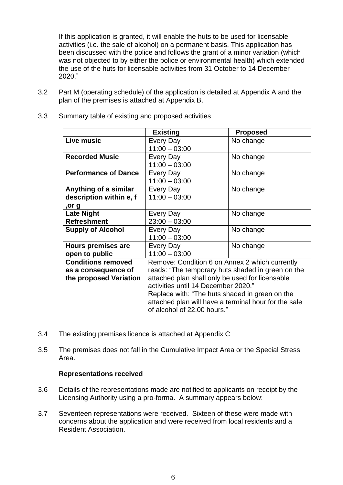If this application is granted, it will enable the huts to be used for licensable activities (i.e. the sale of alcohol) on a permanent basis. This application has been discussed with the police and follows the grant of a minor variation (which was not objected to by either the police or environmental health) which extended the use of the huts for licensable activities from 31 October to 14 December 2020."

3.2 Part M (operating schedule) of the application is detailed at Appendix A and the plan of the premises is attached at Appendix B.

|                             | <b>Existing</b>                                      | <b>Proposed</b> |  |
|-----------------------------|------------------------------------------------------|-----------------|--|
| Live music                  | Every Day                                            | No change       |  |
|                             | $11:00 - 03:00$                                      |                 |  |
| <b>Recorded Music</b>       | Every Day                                            | No change       |  |
|                             | $11:00 - 03:00$                                      |                 |  |
| <b>Performance of Dance</b> | Every Day                                            | No change       |  |
|                             | $11:00 - 03:00$                                      |                 |  |
| Anything of a similar       | Every Day                                            | No change       |  |
| description within e, f     | $11:00 - 03:00$                                      |                 |  |
| ,or g                       |                                                      |                 |  |
| <b>Late Night</b>           | Every Day                                            | No change       |  |
| <b>Refreshment</b>          | $23:00 - 03:00$                                      |                 |  |
| <b>Supply of Alcohol</b>    | Every Day                                            | No change       |  |
|                             | $11:00 - 03:00$                                      |                 |  |
| <b>Hours premises are</b>   | Every Day                                            | No change       |  |
| open to public              | $11:00 - 03:00$                                      |                 |  |
| <b>Conditions removed</b>   | Remove: Condition 6 on Annex 2 which currently       |                 |  |
| as a consequence of         | reads: "The temporary huts shaded in green on the    |                 |  |
| the proposed Variation      | attached plan shall only be used for licensable      |                 |  |
|                             | activities until 14 December 2020."                  |                 |  |
|                             | Replace with: "The huts shaded in green on the       |                 |  |
|                             | attached plan will have a terminal hour for the sale |                 |  |
|                             | of alcohol of 22,00 hours."                          |                 |  |
|                             |                                                      |                 |  |

3.3 Summary table of existing and proposed activities

- 3.4 The existing premises licence is attached at Appendix C
- 3.5 The premises does not fall in the Cumulative Impact Area or the Special Stress Area.

#### **Representations received**

- 3.6 Details of the representations made are notified to applicants on receipt by the Licensing Authority using a pro-forma. A summary appears below:
- 3.7 Seventeen representations were received. Sixteen of these were made with concerns about the application and were received from local residents and a Resident Association.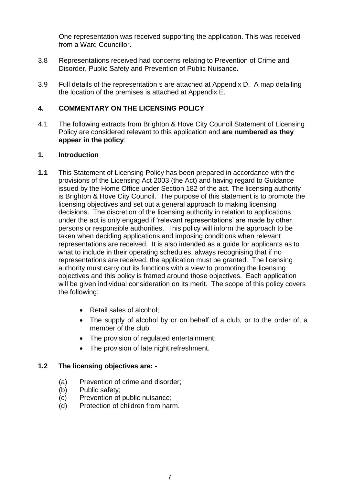One representation was received supporting the application. This was received from a Ward Councillor.

- 3.8 Representations received had concerns relating to Prevention of Crime and Disorder, Public Safety and Prevention of Public Nuisance.
- 3.9 Full details of the representation s are attached at Appendix D. A map detailing the location of the premises is attached at Appendix E.

### **4. COMMENTARY ON THE LICENSING POLICY**

4.1 The following extracts from Brighton & Hove City Council Statement of Licensing Policy are considered relevant to this application and **are numbered as they appear in the policy**:

#### **1. Introduction**

- **1.1** This Statement of Licensing Policy has been prepared in accordance with the provisions of the Licensing Act 2003 (the Act) and having regard to Guidance issued by the Home Office under Section 182 of the act. The licensing authority is Brighton & Hove City Council. The purpose of this statement is to promote the licensing objectives and set out a general approach to making licensing decisions. The discretion of the licensing authority in relation to applications under the act is only engaged if 'relevant representations' are made by other persons or responsible authorities. This policy will inform the approach to be taken when deciding applications and imposing conditions when relevant representations are received. It is also intended as a guide for applicants as to what to include in their operating schedules, always recognising that if no representations are received, the application must be granted. The licensing authority must carry out its functions with a view to promoting the licensing objectives and this policy is framed around those objectives. Each application will be given individual consideration on its merit. The scope of this policy covers the following:
	- Retail sales of alcohol;
	- The supply of alcohol by or on behalf of a club, or to the order of, a member of the club;
	- The provision of regulated entertainment;
	- The provision of late night refreshment.

#### **1.2 The licensing objectives are: -**

- (a) Prevention of crime and disorder;
- (b) Public safety;
- (c) Prevention of public nuisance;
- (d) Protection of children from harm.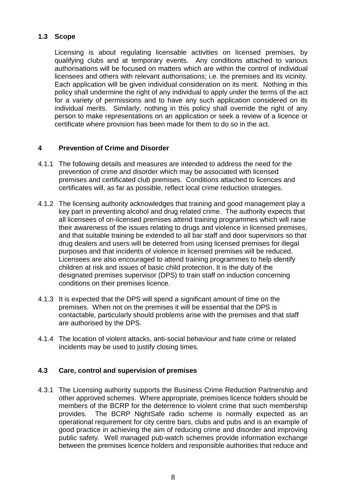# **1.3 Scope**

Licensing is about regulating licensable activities on licensed premises, by qualifying clubs and at temporary events. Any conditions attached to various authorisations will be focused on matters which are within the control of individual licensees and others with relevant authorisations; i.e. the premises and its vicinity. Each application will be given individual consideration on its merit. Nothing in this policy shall undermine the right of any individual to apply under the terms of the act for a variety of permissions and to have any such application considered on its individual merits. Similarly, nothing in this policy shall override the right of any person to make representations on an application or seek a review of a licence or certificate where provision has been made for them to do so in the act.

# **4 Prevention of Crime and Disorder**

- 4.1.1 The following details and measures are intended to address the need for the prevention of crime and disorder which may be associated with licensed premises and certificated club premises. Conditions attached to licences and certificates will, as far as possible, reflect local crime reduction strategies.
- 4.1.2 The licensing authority acknowledges that training and good management play a key part in preventing alcohol and drug related crime. The authority expects that all licensees of on-licensed premises attend training programmes which will raise their awareness of the issues relating to drugs and violence in licensed premises, and that suitable training be extended to all bar staff and door supervisors so that drug dealers and users will be deterred from using licensed premises for illegal purposes and that incidents of violence in licensed premises will be reduced. Licensees are also encouraged to attend training programmes to help identify children at risk and issues of basic child protection. It is the duty of the designated premises supervisor (DPS) to train staff on induction concerning conditions on their premises licence.
- 4.1.3 It is expected that the DPS will spend a significant amount of time on the premises. When not on the premises it will be essential that the DPS is contactable, particularly should problems arise with the premises and that staff are authorised by the DPS.
- 4.1.4 The location of violent attacks, anti-social behaviour and hate crime or related incidents may be used to justify closing times.

## **4.3 Care, control and supervision of premises**

4.3.1 The Licensing authority supports the Business Crime Reduction Partnership and other approved schemes. Where appropriate, premises licence holders should be members of the BCRP for the deterrence to violent crime that such membership provides. The BCRP NightSafe radio scheme is normally expected as an operational requirement for city centre bars, clubs and pubs and is an example of good practice in achieving the aim of reducing crime and disorder and improving public safety. Well managed pub-watch schemes provide information exchange between the premises licence holders and responsible authorities that reduce and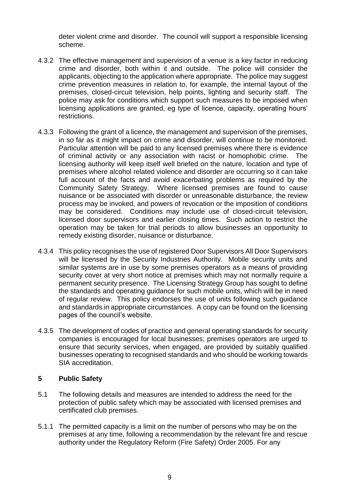deter violent crime and disorder. The council will support a responsible licensing scheme.

- 4.3.2 The effective management and supervision of a venue is a key factor in reducing crime and disorder, both within it and outside. The police will consider the applicants, objecting to the application where appropriate. The police may suggest crime prevention measures in relation to, for example, the internal layout of the premises, closed-circuit television, help points, lighting and security staff. The police may ask for conditions which support such measures to be imposed when licensing applications are granted, eg type of licence, capacity, operating hours' restrictions.
- 4.3.3 Following the grant of a licence, the management and supervision of the premises, in so far as it might impact on crime and disorder, will continue to be monitored. Particular attention will be paid to any licensed premises where there is evidence of criminal activity or any association with racist or homophobic crime. The licensing authority will keep itself well briefed on the nature, location and type of premises where alcohol related violence and disorder are occurring so it can take full account of the facts and avoid exacerbating problems as required by the Community Safety Strategy. Where licensed premises are found to cause nuisance or be associated with disorder or unreasonable disturbance, the review process may be invoked, and powers of revocation or the imposition of conditions may be considered. Conditions may include use of closed-circuit television, licensed door supervisors and earlier closing times. Such action to restrict the operation may be taken for trial periods to allow businesses an opportunity to remedy existing disorder, nuisance or disturbance.
- 4.3.4 This policy recognises the use of registered Door Supervisors All Door Supervisors will be licensed by the Security Industries Authority. Mobile security units and similar systems are in use by some premises operators as a means of providing security cover at very short notice at premises which may not normally require a permanent security presence. The Licensing Strategy Group has sought to define the standards and operating guidance for such mobile units, which will be in need of regular review. This policy endorses the use of units following such guidance and standards in appropriate circumstances. A copy can be found on the licensing pages of the council's website.
- 4.3.5 The development of codes of practice and general operating standards for security companies is encouraged for local businesses; premises operators are urged to ensure that security services, when engaged, are provided by suitably qualified businesses operating to recognised standards and who should be working towards SIA accreditation.

## **5 Public Safety**

- 5.1 The following details and measures are intended to address the need for the protection of public safety which may be associated with licensed premises and certificated club premises.
- 5.1.1 The permitted capacity is a limit on the number of persons who may be on the premises at any time, following a recommendation by the relevant fire and rescue authority under the Regulatory Reform (Fire Safety) Order 2005. For any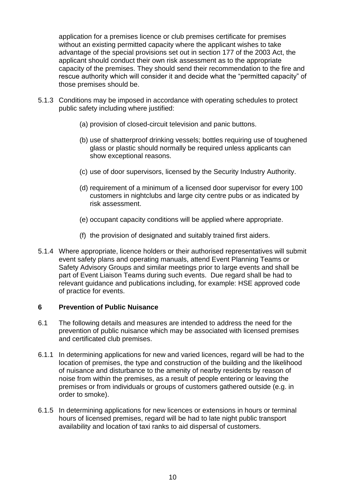application for a premises licence or club premises certificate for premises without an existing permitted capacity where the applicant wishes to take advantage of the special provisions set out in section 177 of the 2003 Act, the applicant should conduct their own risk assessment as to the appropriate capacity of the premises. They should send their recommendation to the fire and rescue authority which will consider it and decide what the "permitted capacity" of those premises should be.

- 5.1.3 Conditions may be imposed in accordance with operating schedules to protect public safety including where justified:
	- (a) provision of closed-circuit television and panic buttons.
	- (b) use of shatterproof drinking vessels; bottles requiring use of toughened glass or plastic should normally be required unless applicants can show exceptional reasons.
	- (c) use of door supervisors, licensed by the Security Industry Authority.
	- (d) requirement of a minimum of a licensed door supervisor for every 100 customers in nightclubs and large city centre pubs or as indicated by risk assessment.
	- (e) occupant capacity conditions will be applied where appropriate.
	- (f) the provision of designated and suitably trained first aiders.
- 5.1.4 Where appropriate, licence holders or their authorised representatives will submit event safety plans and operating manuals, attend Event Planning Teams or Safety Advisory Groups and similar meetings prior to large events and shall be part of Event Liaison Teams during such events. Due regard shall be had to relevant guidance and publications including, for example: HSE approved code of practice for events.

#### **6 Prevention of Public Nuisance**

- 6.1 The following details and measures are intended to address the need for the prevention of public nuisance which may be associated with licensed premises and certificated club premises.
- 6.1.1 In determining applications for new and varied licences, regard will be had to the location of premises, the type and construction of the building and the likelihood of nuisance and disturbance to the amenity of nearby residents by reason of noise from within the premises, as a result of people entering or leaving the premises or from individuals or groups of customers gathered outside (e.g. in order to smoke).
- 6.1.5 In determining applications for new licences or extensions in hours or terminal hours of licensed premises, regard will be had to late night public transport availability and location of taxi ranks to aid dispersal of customers.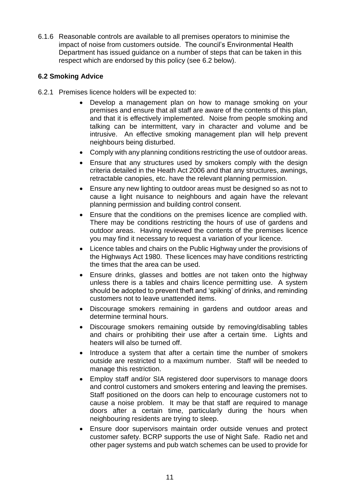6.1.6 Reasonable controls are available to all premises operators to minimise the impact of noise from customers outside. The council's Environmental Health Department has issued guidance on a number of steps that can be taken in this respect which are endorsed by this policy (see 6.2 below).

### **6.2 Smoking Advice**

- 6.2.1 Premises licence holders will be expected to:
	- Develop a management plan on how to manage smoking on your premises and ensure that all staff are aware of the contents of this plan, and that it is effectively implemented. Noise from people smoking and talking can be intermittent, vary in character and volume and be intrusive. An effective smoking management plan will help prevent neighbours being disturbed.
	- Comply with any planning conditions restricting the use of outdoor areas.
	- Ensure that any structures used by smokers comply with the design criteria detailed in the Heath Act 2006 and that any structures, awnings, retractable canopies, etc. have the relevant planning permission.
	- Ensure any new lighting to outdoor areas must be designed so as not to cause a light nuisance to neighbours and again have the relevant planning permission and building control consent.
	- Ensure that the conditions on the premises licence are complied with. There may be conditions restricting the hours of use of gardens and outdoor areas. Having reviewed the contents of the premises licence you may find it necessary to request a variation of your licence.
	- Licence tables and chairs on the Public Highway under the provisions of the Highways Act 1980. These licences may have conditions restricting the times that the area can be used.
	- Ensure drinks, glasses and bottles are not taken onto the highway unless there is a tables and chairs licence permitting use. A system should be adopted to prevent theft and 'spiking' of drinks, and reminding customers not to leave unattended items.
	- Discourage smokers remaining in gardens and outdoor areas and determine terminal hours.
	- Discourage smokers remaining outside by removing/disabling tables and chairs or prohibiting their use after a certain time. Lights and heaters will also be turned off.
	- Introduce a system that after a certain time the number of smokers outside are restricted to a maximum number. Staff will be needed to manage this restriction.
	- Employ staff and/or SIA registered door supervisors to manage doors and control customers and smokers entering and leaving the premises. Staff positioned on the doors can help to encourage customers not to cause a noise problem. It may be that staff are required to manage doors after a certain time, particularly during the hours when neighbouring residents are trying to sleep.
	- Ensure door supervisors maintain order outside venues and protect customer safety. BCRP supports the use of Night Safe. Radio net and other pager systems and pub watch schemes can be used to provide for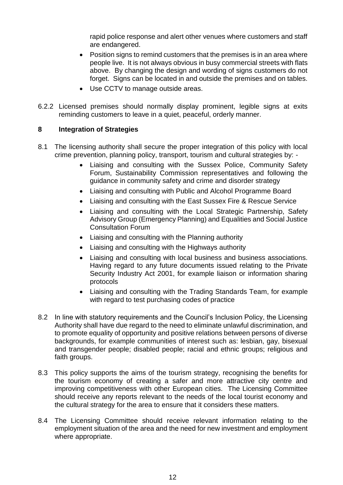rapid police response and alert other venues where customers and staff are endangered.

- Position signs to remind customers that the premises is in an area where people live. It is not always obvious in busy commercial streets with flats above. By changing the design and wording of signs customers do not forget. Signs can be located in and outside the premises and on tables.
- Use CCTV to manage outside areas.
- 6.2.2 Licensed premises should normally display prominent, legible signs at exits reminding customers to leave in a quiet, peaceful, orderly manner.

### **8 Integration of Strategies**

- 8.1 The licensing authority shall secure the proper integration of this policy with local crime prevention, planning policy, transport, tourism and cultural strategies by: -
	- Liaising and consulting with the Sussex Police, Community Safety Forum, Sustainability Commission representatives and following the guidance in community safety and crime and disorder strategy
	- Liaising and consulting with Public and Alcohol Programme Board
	- Liaising and consulting with the East Sussex Fire & Rescue Service
	- Liaising and consulting with the Local Strategic Partnership, Safety Advisory Group (Emergency Planning) and Equalities and Social Justice Consultation Forum
	- Liaising and consulting with the Planning authority
	- Liaising and consulting with the Highways authority
	- Liaising and consulting with local business and business associations. Having regard to any future documents issued relating to the Private Security Industry Act 2001, for example liaison or information sharing protocols
	- Liaising and consulting with the Trading Standards Team, for example with regard to test purchasing codes of practice
- 8.2 In line with statutory requirements and the Council's Inclusion Policy, the Licensing Authority shall have due regard to the need to eliminate unlawful discrimination, and to promote equality of opportunity and positive relations between persons of diverse backgrounds, for example communities of interest such as: lesbian, gay, bisexual and transgender people; disabled people; racial and ethnic groups; religious and faith groups.
- 8.3 This policy supports the aims of the tourism strategy, recognising the benefits for the tourism economy of creating a safer and more attractive city centre and improving competitiveness with other European cities. The Licensing Committee should receive any reports relevant to the needs of the local tourist economy and the cultural strategy for the area to ensure that it considers these matters.
- 8.4 The Licensing Committee should receive relevant information relating to the employment situation of the area and the need for new investment and employment where appropriate.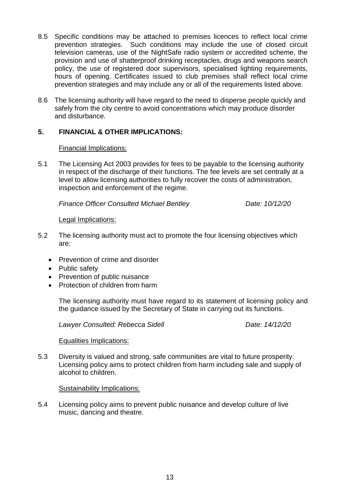- 8.5 Specific conditions may be attached to premises licences to reflect local crime prevention strategies. Such conditions may include the use of closed circuit television cameras, use of the NightSafe radio system or accredited scheme, the provision and use of shatterproof drinking receptacles, drugs and weapons search policy, the use of registered door supervisors, specialised lighting requirements, hours of opening. Certificates issued to club premises shall reflect local crime prevention strategies and may include any or all of the requirements listed above.
- 8.6 The licensing authority will have regard to the need to disperse people quickly and safely from the city centre to avoid concentrations which may produce disorder and disturbance.

## **5. FINANCIAL & OTHER IMPLICATIONS:**

#### Financial Implications:

5.1 The Licensing Act 2003 provides for fees to be payable to the licensing authority in respect of the discharge of their functions. The fee levels are set centrally at a level to allow licensing authorities to fully recover the costs of administration, inspection and enforcement of the regime.

*Finance Officer Consulted Michael Bentley Date: 10/12/20*

#### Legal Implications:

- 5.2 The licensing authority must act to promote the four licensing objectives which are:
	- Prevention of crime and disorder
	- Public safety
	- Prevention of public nuisance
	- Protection of children from harm

The licensing authority must have regard to its statement of licensing policy and the guidance issued by the Secretary of State in carrying out its functions.

*Lawyer Consulted: Rebecca Sidell Date: 14/12/20*

#### Equalities Implications:

5.3 Diversity is valued and strong, safe communities are vital to future prosperity. Licensing policy aims to protect children from harm including sale and supply of alcohol to children.

#### Sustainability Implications:

5.4 Licensing policy aims to prevent public nuisance and develop culture of live music, dancing and theatre.